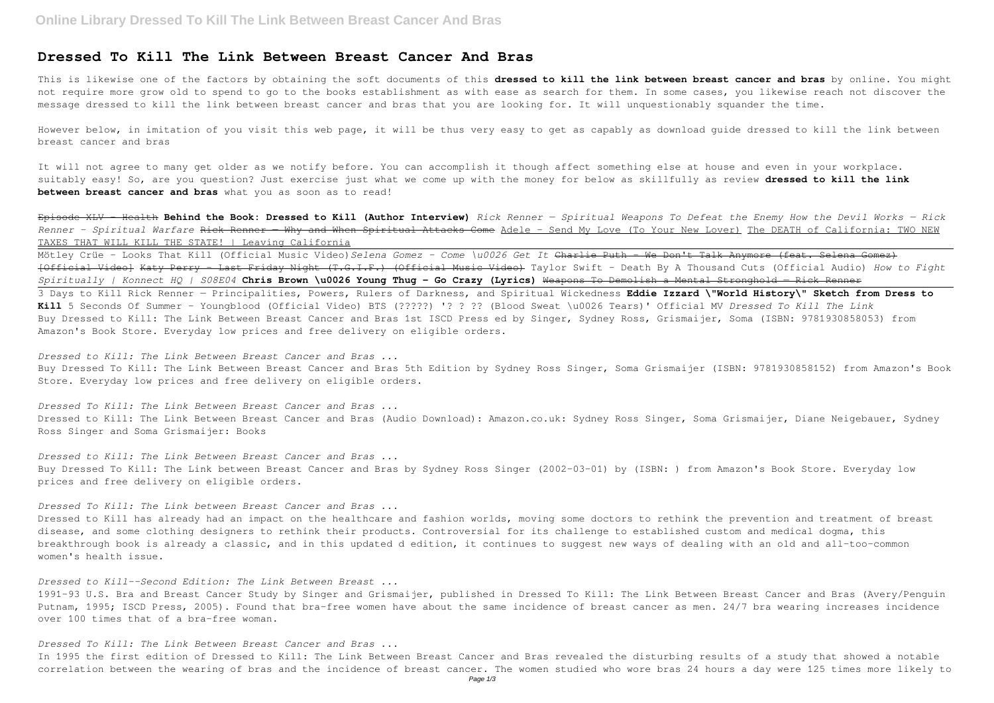## **Dressed To Kill The Link Between Breast Cancer And Bras**

This is likewise one of the factors by obtaining the soft documents of this **dressed to kill the link between breast cancer and bras** by online. You might not require more grow old to spend to go to the books establishment as with ease as search for them. In some cases, you likewise reach not discover the message dressed to kill the link between breast cancer and bras that you are looking for. It will unquestionably squander the time.

However below, in imitation of you visit this web page, it will be thus very easy to get as capably as download guide dressed to kill the link between breast cancer and bras

It will not agree to many get older as we notify before. You can accomplish it though affect something else at house and even in your workplace. suitably easy! So, are you question? Just exercise just what we come up with the money for below as skillfully as review **dressed to kill the link between breast cancer and bras** what you as soon as to read!

Episode XLV - Health **Behind the Book: Dressed to Kill (Author Interview)** *Rick Renner — Spiritual Weapons To Defeat the Enemy How the Devil Works — Rick Renner - Spiritual Warfare* Rick Renner — Why and When Spiritual Attacks Come Adele - Send My Love (To Your New Lover) The DEATH of California: TWO NEW TAXES THAT WILL KILL THE STATE! | Leaving California

Mötley Crüe - Looks That Kill (Official Music Video)*Selena Gomez - Come \u0026 Get It* Charlie Puth - We Don't Talk Anymore (feat. Selena Gomez) [Official Video] Katy Perry - Last Friday Night (T.G.I.F.) (Official Music Video) Taylor Swift - Death By A Thousand Cuts (Official Audio) *How to Fight Spiritually | Konnect HQ | S08E04* **Chris Brown \u0026 Young Thug - Go Crazy (Lyrics)** Weapons To Demolish a Mental Stronghold — Rick Renner 3 Days to Kill Rick Renner — Principalities, Powers, Rulers of Darkness, and Spiritual Wickedness **Eddie Izzard \"World History\" Sketch from Dress to Kill** 5 Seconds Of Summer - Youngblood (Official Video) BTS (?????) '? ? ?? (Blood Sweat \u0026 Tears)' Official MV *Dressed To Kill The Link* Buy Dressed to Kill: The Link Between Breast Cancer and Bras 1st ISCD Press ed by Singer, Sydney Ross, Grismaijer, Soma (ISBN: 9781930858053) from Amazon's Book Store. Everyday low prices and free delivery on eligible orders.

1991-93 U.S. Bra and Breast Cancer Study by Singer and Grismaijer, published in Dressed To Kill: The Link Between Breast Cancer and Bras (Avery/Penguin Putnam, 1995; ISCD Press, 2005). Found that bra-free women have about the same incidence of breast cancer as men. 24/7 bra wearing increases incidence over 100 times that of a bra-free woman.

*Dressed to Kill: The Link Between Breast Cancer and Bras ...* Buy Dressed To Kill: The Link Between Breast Cancer and Bras 5th Edition by Sydney Ross Singer, Soma Grismaijer (ISBN: 9781930858152) from Amazon's Book Store. Everyday low prices and free delivery on eligible orders.

*Dressed To Kill: The Link Between Breast Cancer and Bras ...* Dressed to Kill: The Link Between Breast Cancer and Bras (Audio Download): Amazon.co.uk: Sydney Ross Singer, Soma Grismaijer, Diane Neigebauer, Sydney Ross Singer and Soma Grismaijer: Books

*Dressed to Kill: The Link Between Breast Cancer and Bras ...* Buy Dressed To Kill: The Link between Breast Cancer and Bras by Sydney Ross Singer (2002-03-01) by (ISBN: ) from Amazon's Book Store. Everyday low prices and free delivery on eligible orders.

*Dressed To Kill: The Link between Breast Cancer and Bras ...*

Dressed to Kill has already had an impact on the healthcare and fashion worlds, moving some doctors to rethink the prevention and treatment of breast disease, and some clothing designers to rethink their products. Controversial for its challenge to established custom and medical dogma, this breakthrough book is already a classic, and in this updated d edition, it continues to suggest new ways of dealing with an old and all-too-common women's health issue.

*Dressed to Kill--Second Edition: The Link Between Breast ...*

*Dressed To Kill: The Link Between Breast Cancer and Bras ...*

In 1995 the first edition of Dressed to Kill: The Link Between Breast Cancer and Bras revealed the disturbing results of a study that showed a notable correlation between the wearing of bras and the incidence of breast cancer. The women studied who wore bras 24 hours a day were 125 times more likely to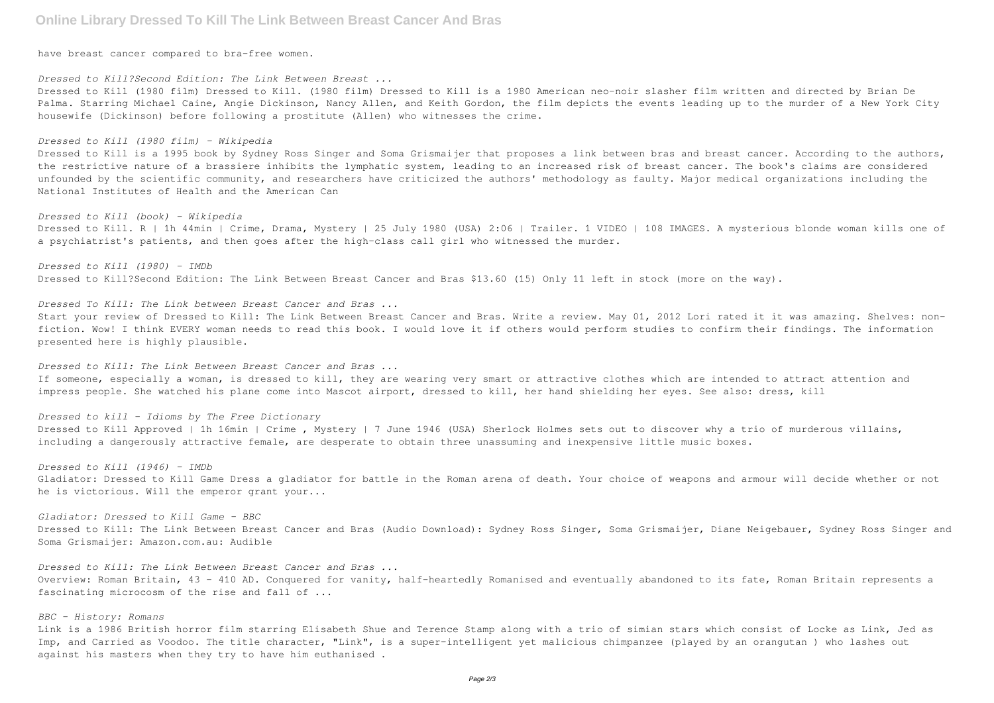# **Online Library Dressed To Kill The Link Between Breast Cancer And Bras**

have breast cancer compared to bra-free women.

#### *Dressed to Kill?Second Edition: The Link Between Breast ...*

Dressed to Kill (1980 film) Dressed to Kill. (1980 film) Dressed to Kill is a 1980 American neo-noir slasher film written and directed by Brian De Palma. Starring Michael Caine, Angie Dickinson, Nancy Allen, and Keith Gordon, the film depicts the events leading up to the murder of a New York City housewife (Dickinson) before following a prostitute (Allen) who witnesses the crime.

Dressed to Kill is a 1995 book by Sydney Ross Singer and Soma Grismaijer that proposes a link between bras and breast cancer. According to the authors, the restrictive nature of a brassiere inhibits the lymphatic system, leading to an increased risk of breast cancer. The book's claims are considered unfounded by the scientific community, and researchers have criticized the authors' methodology as faulty. Major medical organizations including the National Institutes of Health and the American Can

#### *Dressed to Kill (1980 film) - Wikipedia*

Dressed to Kill. R | 1h 44min | Crime, Drama, Mystery | 25 July 1980 (USA) 2:06 | Trailer. 1 VIDEO | 108 IMAGES. A mysterious blonde woman kills one of a psychiatrist's patients, and then goes after the high-class call girl who witnessed the murder.

#### *Dressed to Kill (book) - Wikipedia*

*Dressed to Kill (1980) - IMDb* Dressed to Kill?Second Edition: The Link Between Breast Cancer and Bras \$13.60 (15) Only 11 left in stock (more on the way).

*Dressed To Kill: The Link between Breast Cancer and Bras ...*

Start your review of Dressed to Kill: The Link Between Breast Cancer and Bras. Write a review. May 01, 2012 Lori rated it it was amazing. Shelves: nonfiction. Wow! I think EVERY woman needs to read this book. I would love it if others would perform studies to confirm their findings. The information presented here is highly plausible.

*Dressed to Kill: The Link Between Breast Cancer and Bras ...* If someone, especially a woman, is dressed to kill, they are wearing very smart or attractive clothes which are intended to attract attention and impress people. She watched his plane come into Mascot airport, dressed to kill, her hand shielding her eyes. See also: dress, kill

*Dressed to kill - Idioms by The Free Dictionary* Dressed to Kill Approved | 1h 16min | Crime , Mystery | 7 June 1946 (USA) Sherlock Holmes sets out to discover why a trio of murderous villains, including a dangerously attractive female, are desperate to obtain three unassuming and inexpensive little music boxes.

*Dressed to Kill (1946) - IMDb* Gladiator: Dressed to Kill Game Dress a gladiator for battle in the Roman arena of death. Your choice of weapons and armour will decide whether or not he is victorious. Will the emperor grant your...

*Gladiator: Dressed to Kill Game - BBC* Dressed to Kill: The Link Between Breast Cancer and Bras (Audio Download): Sydney Ross Singer, Soma Grismaijer, Diane Neigebauer, Sydney Ross Singer and Soma Grismaijer: Amazon.com.au: Audible

*Dressed to Kill: The Link Between Breast Cancer and Bras ...* Overview: Roman Britain, 43 - 410 AD. Conquered for vanity, half-heartedly Romanised and eventually abandoned to its fate, Roman Britain represents a fascinating microcosm of the rise and fall of ...

### *BBC - History: Romans*

Link is a 1986 British horror film starring Elisabeth Shue and Terence Stamp along with a trio of simian stars which consist of Locke as Link, Jed as Imp, and Carried as Voodoo. The title character, "Link", is a super-intelligent yet malicious chimpanzee (played by an orangutan ) who lashes out against his masters when they try to have him euthanised .